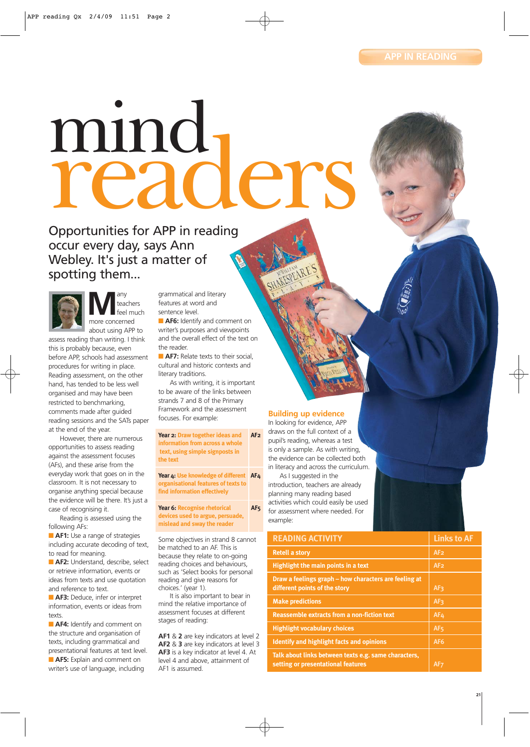# mind<br>readers

Opportunities for APP in reading occur every day, says Ann Webley. It's just a matter of spotting them...



**M**any more concerned teachers feel much about using APP to

assess reading than writing. I think this is probably because, even before APP, schools had assessment procedures for writing in place. Reading assessment, on the other hand, has tended to be less well organised and may have been restricted to benchmarking, comments made after guided reading sessions and the SATs paper at the end of the year.

However, there are numerous opportunities to assess reading against the assessment focuses (AFs), and these arise from the everyday work that goes on in the classroom. It is not necessary to organise anything special because the evidence will be there. It's just a case of recognising it.

Reading is assessed using the following AFs:

■ **AF1:** Use a range of strategies including accurate decoding of text, to read for meaning.

**AF2:** Understand, describe, select or retrieve information, events or ideas from texts and use quotation and reference to text.

**AF3:** Deduce, infer or interpret information, events or ideas from texts

■ **AF4:** Identify and comment on the structure and organisation of texts, including grammatical and presentational features at text level. **AF5:** Explain and comment on writer's use of language, including

grammatical and literary features at word and sentence level.

■ **AF6:** Identify and comment on writer's purposes and viewpoints and the overall effect of the text on the reader.

**AF7:** Relate texts to their social. cultural and historic contexts and literary traditions.

As with writing, it is important to be aware of the links between strands 7 and 8 of the Primary Framework and the assessment focuses. For example:

**Year 2: Draw together ideas and AF2 information from across a whole text, using simple signposts in the text Year 4: Use knowledge of different AF4**

**organisational features of texts to find information effectively Year 6: Recognise rhetorical AF5**

**devices used to argue, persuade, mislead and sway the reader**

Some objectives in strand 8 cannot be matched to an AF. This is because they relate to on-going reading choices and behaviours, such as 'Select books for personal reading and give reasons for choices.' (year 1).

It is also important to bear in mind the relative importance of assessment focuses at different stages of reading:

**AF1** & **2** are key indicators at level 2 **AF2** & **3** are key indicators at level 3 **AF3** is a key indicator at level 4. At level 4 and above, attainment of AF1 is assumed.

## **Building up evidence**

In looking for evidence, APP draws on the full context of a pupil's reading, whereas a test is only a sample. As with writing, the evidence can be collected both in literacy and across the curriculum.

As I suggested in the introduction, teachers are already planning many reading based activities which could easily be used for assessment where needed. For example:

| <b>READING ACTIVITY</b>                                                                    | <b>Links to AF</b> |
|--------------------------------------------------------------------------------------------|--------------------|
| <b>Retell a story</b>                                                                      | AF <sub>2</sub>    |
| Highlight the main points in a text                                                        | AF <sub>2</sub>    |
| Draw a feelings graph – how characters are feeling at<br>different points of the story     | AF <sub>3</sub>    |
| <b>Make predictions</b>                                                                    | AF <sub>3</sub>    |
| <b>Reassemble extracts from a non-fiction text</b>                                         | AF <sub>4</sub>    |
| <b>Highlight vocabulary choices</b>                                                        | AF <sub>5</sub>    |
| <b>Identify and highlight facts and opinions</b>                                           | AF6                |
| Talk about links between texts e.g. same characters,<br>setting or presentational features | AF <sub>7</sub>    |